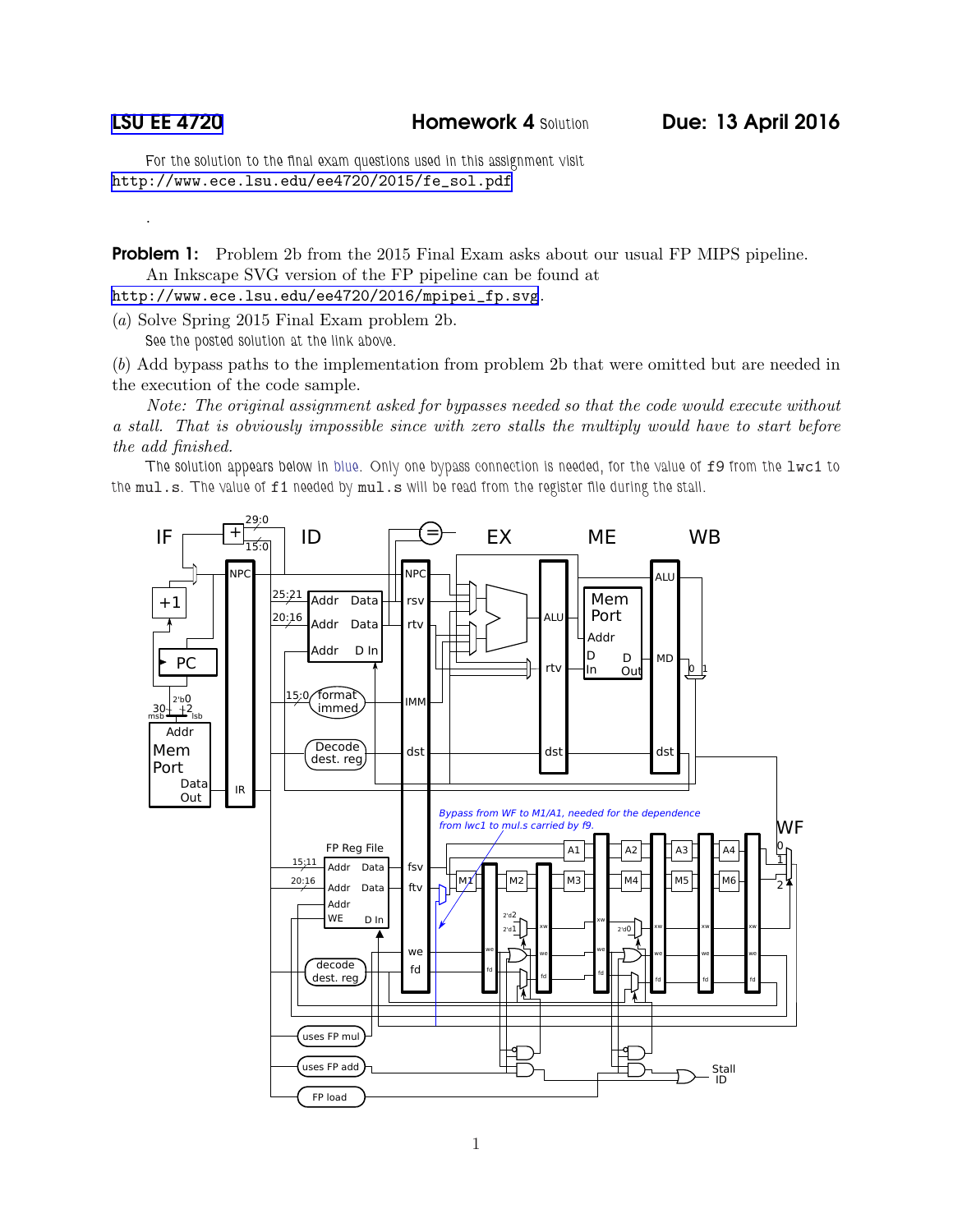.

For the solution to the final exam questions used in this assignment visit [http://www.ece.lsu.edu/ee4720/2015/fe\\_sol.pdf](http://www.ece.lsu.edu/ee4720/2015/fe_sol.pdf)

**Problem 1:** Problem 2b from the 2015 Final Exam asks about our usual FP MIPS pipeline. An Inkscape SVG version of the FP pipeline can be found at

[http://www.ece.lsu.edu/ee4720/2016/mpipei\\_fp.svg](http://www.ece.lsu.edu/ee4720/2016/mpipei_fp.svg).

(a) Solve Spring 2015 Final Exam problem 2b. See the posted solution at the link above.

(b) Add bypass paths to the implementation from problem 2b that were omitted but are needed in the execution of the code sample.

Note: The original assignment asked for bypasses needed so that the code would execute without a stall. That is obviously impossible since with zero stalls the multiply would have to start before the add finished.

The solution appears below in blue. Only one bypass connection is needed, for the value of f9 from the lwc1 to the mul.s. The value of f1 needed by mul.s will be read from the register file during the stall.